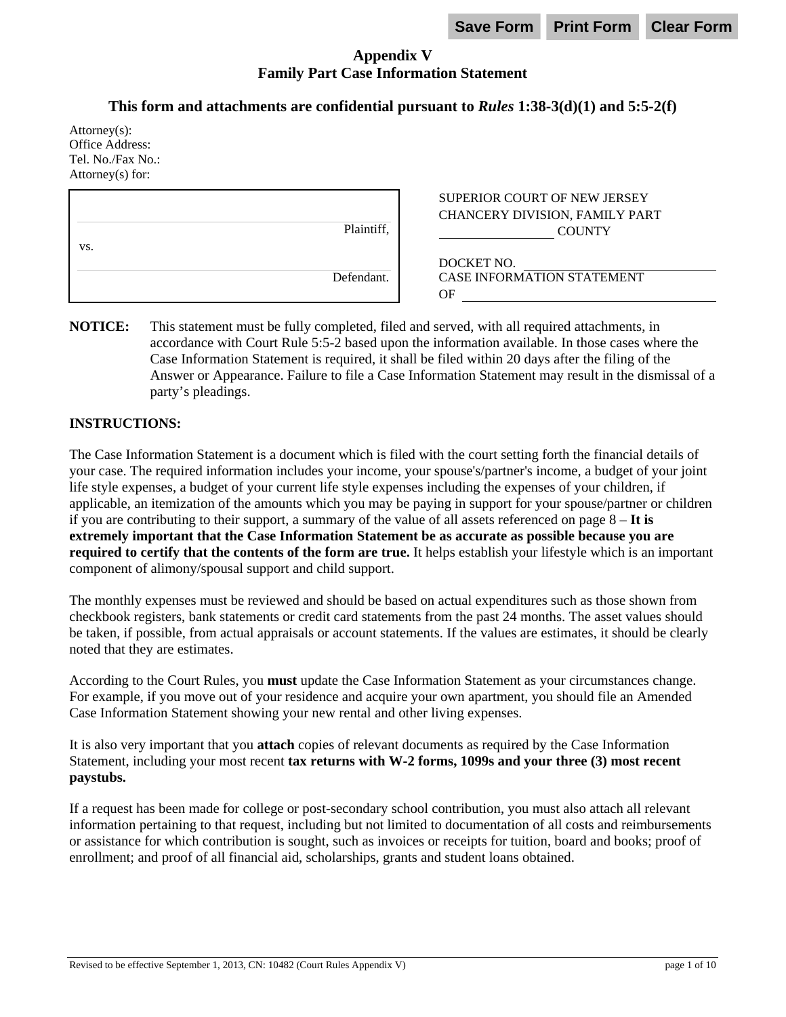# **Appendix V Family Part Case Information Statement**

# **This form and attachments are confidential pursuant to** *Rules* **1:38-3(d)(1) and 5:5-2(f)**

| $Attorney(s)$ :<br>Office Address:<br>Tel. No./Fax No.:<br>Attorney $(s)$ for: |            |                                                                                        |
|--------------------------------------------------------------------------------|------------|----------------------------------------------------------------------------------------|
| VS.                                                                            | Plaintiff, | <b>SUPERIOR COURT OF NEW JERSEY</b><br>CHANCERY DIVISION, FAMILY PART<br><b>COUNTY</b> |
|                                                                                | Defendant. | DOCKET NO.<br><b>CASE INFORMATION STATEMENT</b><br>ΟF                                  |

**NOTICE:** This statement must be fully completed, filed and served, with all required attachments, in accordance with Court Rule 5:5-2 based upon the information available. In those cases where the Case Information Statement is required, it shall be filed within 20 days after the filing of the Answer or Appearance. Failure to file a Case Information Statement may result in the dismissal of a party's pleadings.

## **INSTRUCTIONS:**

The Case Information Statement is a document which is filed with the court setting forth the financial details of your case. The required information includes your income, your spouse's/partner's income, a budget of your joint life style expenses, a budget of your current life style expenses including the expenses of your children, if applicable, an itemization of the amounts which you may be paying in support for your spouse/partner or children if you are contributing to their support, a summary of the value of all assets referenced on page 8 – **It is extremely important that the Case Information Statement be as accurate as possible because you are required to certify that the contents of the form are true.** It helps establish your lifestyle which is an important component of alimony/spousal support and child support.

The monthly expenses must be reviewed and should be based on actual expenditures such as those shown from checkbook registers, bank statements or credit card statements from the past 24 months. The asset values should be taken, if possible, from actual appraisals or account statements. If the values are estimates, it should be clearly noted that they are estimates.

According to the Court Rules, you **must** update the Case Information Statement as your circumstances change. For example, if you move out of your residence and acquire your own apartment, you should file an Amended Case Information Statement showing your new rental and other living expenses.

It is also very important that you **attach** copies of relevant documents as required by the Case Information Statement, including your most recent **tax returns with W-2 forms, 1099s and your three (3) most recent paystubs.**

If a request has been made for college or post-secondary school contribution, you must also attach all relevant information pertaining to that request, including but not limited to documentation of all costs and reimbursements or assistance for which contribution is sought, such as invoices or receipts for tuition, board and books; proof of enrollment; and proof of all financial aid, scholarships, grants and student loans obtained.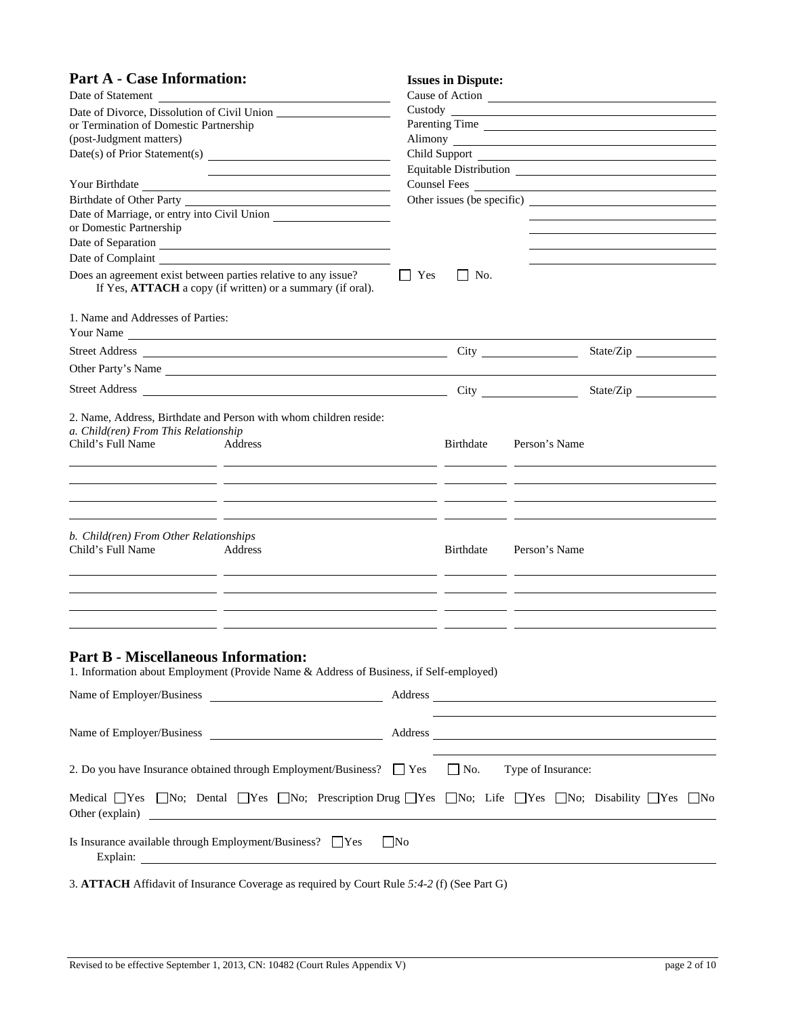| <b>Part A - Case Information:</b>                                                                                                                                                                                                                                                                      |           | <b>Issues in Dispute:</b> |                 |  |
|--------------------------------------------------------------------------------------------------------------------------------------------------------------------------------------------------------------------------------------------------------------------------------------------------------|-----------|---------------------------|-----------------|--|
| Date of Statement                                                                                                                                                                                                                                                                                      |           |                           | Cause of Action |  |
|                                                                                                                                                                                                                                                                                                        |           |                           |                 |  |
| or Termination of Domestic Partnership                                                                                                                                                                                                                                                                 |           |                           | Parenting Time  |  |
| (post-Judgment matters)<br>Alimony <u>and a series of the series of the series of the series of the series of the series of the series of the series of the series of the series of the series of the series of the series of the series of the series of t</u>                                        |           |                           |                 |  |
|                                                                                                                                                                                                                                                                                                        |           |                           |                 |  |
| <u> 2008 - Andrea Andrew Maria (h. 1878).</u>                                                                                                                                                                                                                                                          |           |                           |                 |  |
| Birthdate of Other Party                                                                                                                                                                                                                                                                               |           |                           | Counsel Fees    |  |
| Date of Marriage, or entry into Civil Union                                                                                                                                                                                                                                                            |           |                           |                 |  |
| or Domestic Partnership                                                                                                                                                                                                                                                                                |           |                           |                 |  |
|                                                                                                                                                                                                                                                                                                        |           |                           |                 |  |
|                                                                                                                                                                                                                                                                                                        |           |                           |                 |  |
| Does an agreement exist between parties relative to any issue?<br>If Yes, ATTACH a copy (if written) or a summary (if oral).                                                                                                                                                                           | Yes       | No.                       |                 |  |
| 1. Name and Addresses of Parties:                                                                                                                                                                                                                                                                      |           |                           |                 |  |
| Your Name                                                                                                                                                                                                                                                                                              |           |                           |                 |  |
|                                                                                                                                                                                                                                                                                                        |           |                           | State/Zip       |  |
|                                                                                                                                                                                                                                                                                                        |           |                           |                 |  |
| Other Party's Name                                                                                                                                                                                                                                                                                     |           |                           |                 |  |
|                                                                                                                                                                                                                                                                                                        |           |                           | State/Zip       |  |
| 2. Name, Address, Birthdate and Person with whom children reside:<br>a. Child(ren) From This Relationship<br>Child's Full Name<br>Address<br><u> 1990 - Andrea San Andrea Andrea Andrea Andrea Andrea Andrea Andrea Andrea Andrea Andrea Andrea Andrea Andrea </u>                                     |           | Birthdate                 | Person's Name   |  |
|                                                                                                                                                                                                                                                                                                        |           |                           |                 |  |
|                                                                                                                                                                                                                                                                                                        |           |                           |                 |  |
|                                                                                                                                                                                                                                                                                                        |           |                           |                 |  |
| b. Child(ren) From Other Relationships<br>Child's Full Name<br>Address                                                                                                                                                                                                                                 |           | Birthdate                 | Person's Name   |  |
| <u> 1999 - Andrea Santana, amerikana amerikana yang bermula pendada personal dan pendada personal dan pendada an</u>                                                                                                                                                                                   |           |                           |                 |  |
| <u> 2002 - Jan Barristo, Amerikaansk politiker (* 1908)</u>                                                                                                                                                                                                                                            |           |                           |                 |  |
|                                                                                                                                                                                                                                                                                                        |           |                           |                 |  |
| <b>Part B - Miscellaneous Information:</b><br>1. Information about Employment (Provide Name & Address of Business, if Self-employed)                                                                                                                                                                   |           |                           |                 |  |
|                                                                                                                                                                                                                                                                                                        |           |                           |                 |  |
| 2. Do you have Insurance obtained through Employment/Business? $\Box$ Yes $\Box$ No. Type of Insurance:                                                                                                                                                                                                |           |                           |                 |  |
| Medical Types Tho; Dental Types Tho; Prescription Drug Types Tho; Life Types Tho; Disability Types Tho                                                                                                                                                                                                 |           |                           |                 |  |
| Is Insurance available through Employment/Business? $\Box$ Yes<br>Explain: <u>contract and contract and contract and contract and contract and contract and contract and contract and contract and contract and contract and contract and contract and contract and contract and contract and cont</u> | $\Box$ No |                           |                 |  |
| 3. ATTACH Affidavit of Insurance Coverage as required by Court Rule 5:4-2 (f) (See Part G)                                                                                                                                                                                                             |           |                           |                 |  |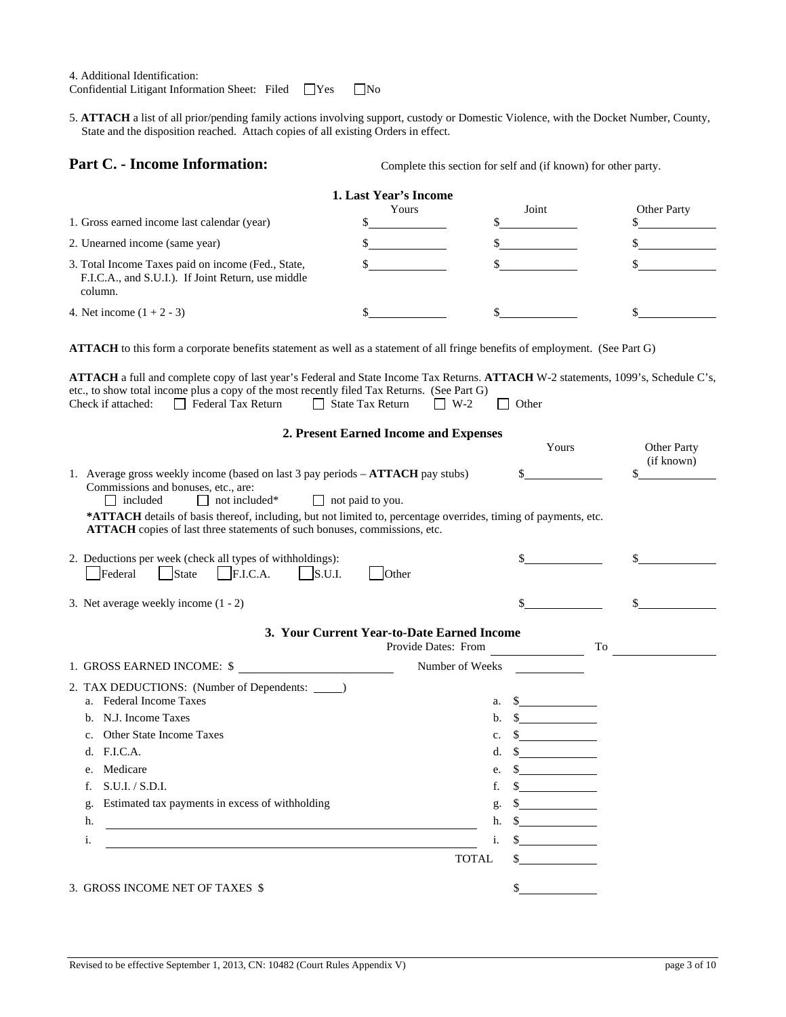4. Additional Identification:

Confidential Litigant Information Sheet: Filed  $\Box$  Yes  $\Box$  No

5. **ATTACH** a list of all prior/pending family actions involving support, custody or Domestic Violence, with the Docket Number, County, State and the disposition reached. Attach copies of all existing Orders in effect.

**Part C. - Income Information:** Complete this section for self and (if known) for other party.

|                                                                                                                     | <b>1. Last Year's Income</b> |       |                    |
|---------------------------------------------------------------------------------------------------------------------|------------------------------|-------|--------------------|
|                                                                                                                     | Yours                        | Joint | <b>Other Party</b> |
| 1. Gross earned income last calendar (year)                                                                         |                              |       |                    |
| 2. Unearned income (same year)                                                                                      |                              |       |                    |
| 3. Total Income Taxes paid on income (Fed., State,<br>F.I.C.A., and S.U.I.). If Joint Return, use middle<br>column. |                              |       |                    |
| 4. Net income $(1 + 2 - 3)$                                                                                         |                              |       |                    |

**ATTACH** to this form a corporate benefits statement as well as a statement of all fringe benefits of employment. (See Part G)

|                    | <b>ATTACH</b> a full and complete copy of last year's Federal and State Income Tax Returns. <b>ATTACH</b> W-2 statements, 1099's, Schedule C's, |                          |       |  |
|--------------------|-------------------------------------------------------------------------------------------------------------------------------------------------|--------------------------|-------|--|
|                    | etc., to show total income plus a copy of the most recently filed Tax Returns. (See Part G)                                                     |                          |       |  |
| Check if attached: | Federal Tax Return                                                                                                                              | State Tax Return     W-2 | Other |  |

| 2. Present Earned Income and Expenses                                                                                                                                                                                                                                                                                                                                                                      |                                                                                                     |                    |
|------------------------------------------------------------------------------------------------------------------------------------------------------------------------------------------------------------------------------------------------------------------------------------------------------------------------------------------------------------------------------------------------------------|-----------------------------------------------------------------------------------------------------|--------------------|
|                                                                                                                                                                                                                                                                                                                                                                                                            | Yours                                                                                               | <b>Other Party</b> |
| 1. Average gross weekly income (based on last 3 pay periods – <b>ATTACH</b> pay stubs)<br>Commissions and bonuses, etc., are:<br>$\Box$ not included*<br>$\Box$ not paid to you.<br>$\Box$ included<br>*ATTACH details of basis thereof, including, but not limited to, percentage overrides, timing of payments, etc.<br><b>ATTACH</b> copies of last three statements of such bonuses, commissions, etc. | \$                                                                                                  | (if known)         |
| 2. Deductions per week (check all types of withholdings):<br>$\vert$ State<br>$\vert$ F.I.C.A. $\vert$ S.U.I.<br>Federal<br>Other                                                                                                                                                                                                                                                                          |                                                                                                     |                    |
| 3. Net average weekly income $(1 - 2)$                                                                                                                                                                                                                                                                                                                                                                     |                                                                                                     |                    |
| 3. Your Current Year-to-Date Earned Income                                                                                                                                                                                                                                                                                                                                                                 | Provide Dates: From<br>To                                                                           |                    |
| 1. GROSS EARNED INCOME: \$                                                                                                                                                                                                                                                                                                                                                                                 | Number of Weeks                                                                                     |                    |
| 2. TAX DEDUCTIONS: (Number of Dependents: ______)<br>a. Federal Income Taxes<br>b. N.J. Income Taxes<br>Other State Income Taxes<br>c.<br>F.I.C.A.<br>d.<br>Medicare<br>e.<br>S.U.I. / S.D.I.<br>f.<br>Estimated tax payments in excess of withholding<br>g.<br>h.<br><u> 1989 - Johann Barn, mars ann an t-Amhain Aonaich an t-Aonaich an t-Aonaich ann an t-Aonaich ann an t-Aonaich</u><br>i.           | $\frac{1}{2}$<br>a.<br>b.<br>$\mathbb{S}$<br>c.<br>d.<br>e.<br>f.<br>g.<br>h.<br>i.<br><b>TOTAL</b> |                    |
| 3. GROSS INCOME NET OF TAXES \$                                                                                                                                                                                                                                                                                                                                                                            |                                                                                                     |                    |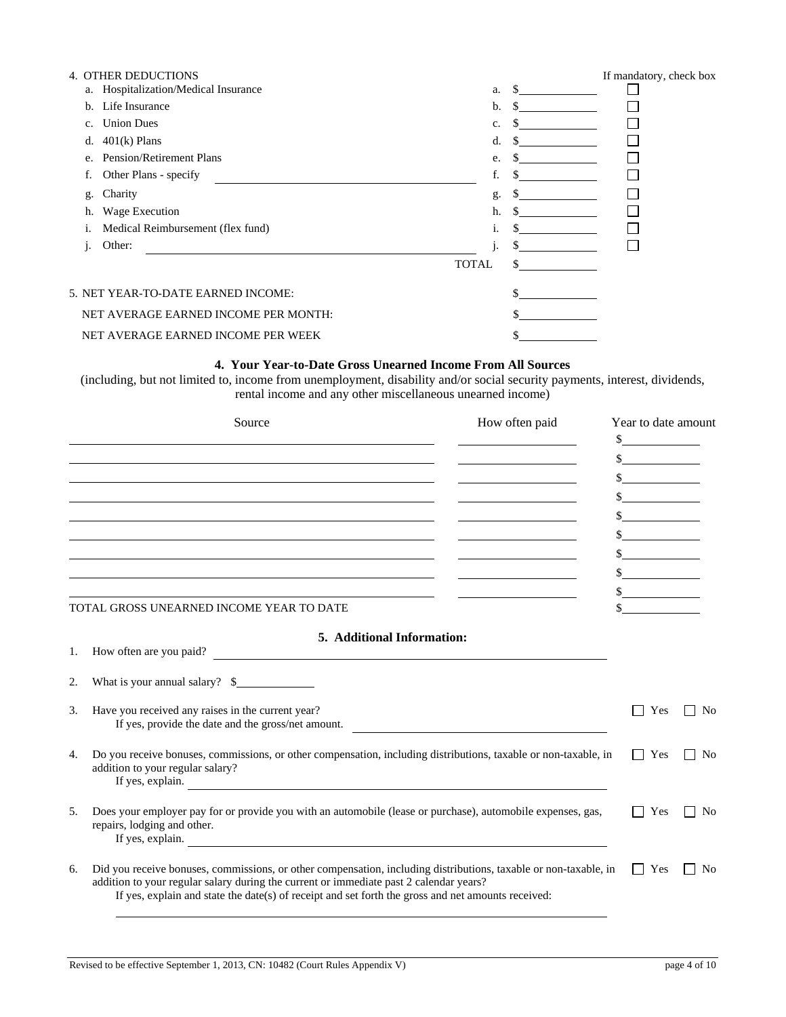|    | 4. OTHER DEDUCTIONS                  |              |     | If mandatory, check box |
|----|--------------------------------------|--------------|-----|-------------------------|
|    | a. Hospitalization/Medical Insurance | a.           | \$. |                         |
| b. | Life Insurance                       | b.           | \$. |                         |
| c. | <b>Union Dues</b>                    | c.           |     |                         |
| d. | $401(k)$ Plans                       | d.           |     |                         |
| e. | <b>Pension/Retirement Plans</b>      | e.           |     |                         |
|    | Other Plans - specify                | f.           |     |                         |
| g. | Charity                              | g.           |     |                         |
| h. | Wage Execution                       | h.           |     |                         |
| 1. | Medical Reimbursement (flex fund)    | 1.           |     |                         |
| 1. | Other:                               |              |     |                         |
|    |                                      | <b>TOTAL</b> |     |                         |
|    | 5. NET YEAR-TO-DATE EARNED INCOME:   |              |     |                         |
|    | NET AVERAGE EARNED INCOME PER MONTH: |              |     |                         |
|    | NET AVERAGE EARNED INCOME PER WEEK   |              |     |                         |

#### **4. Your Year-to-Date Gross Unearned Income From All Sources**

(including, but not limited to, income from unemployment, disability and/or social security payments, interest, dividends, rental income and any other miscellaneous unearned income)

|    | Source                                                                                                                                                                                                                                                                                                           | How often paid | Year to date amount<br>$\frac{\sqrt{2}}{2}$ |                    |
|----|------------------------------------------------------------------------------------------------------------------------------------------------------------------------------------------------------------------------------------------------------------------------------------------------------------------|----------------|---------------------------------------------|--------------------|
|    | <u> 1989 - Johann Stoff, amerikansk politiker (d. 1989)</u><br>the contract of the contract of the contract of the contract of the contract of the contract of the<br>TOTAL GROSS UNEARNED INCOME YEAR TO DATE                                                                                                   |                | $\sim$                                      |                    |
| 1. | 5. Additional Information:<br>How often are you paid?                                                                                                                                                                                                                                                            |                |                                             |                    |
| 2. | What is your annual salary? $\frac{1}{2}$                                                                                                                                                                                                                                                                        |                |                                             |                    |
| 3. | Have you received any raises in the current year?<br>If yes, provide the date and the gross/net amount.                                                                                                                                                                                                          |                | Yes                                         | No<br>$\mathsf{L}$ |
| 4. | Do you receive bonuses, commissions, or other compensation, including distributions, taxable or non-taxable, in<br>addition to your regular salary?<br>If yes, explain.                                                                                                                                          |                | Yes                                         | N <sub>0</sub>     |
| 5. | Does your employer pay for or provide you with an automobile (lease or purchase), automobile expenses, gas,<br>repairs, lodging and other.<br>If yes, explain.                                                                                                                                                   |                | Yes                                         | N <sub>0</sub>     |
| 6. | Did you receive bonuses, commissions, or other compensation, including distributions, taxable or non-taxable, in<br>addition to your regular salary during the current or immediate past 2 calendar years?<br>If yes, explain and state the date(s) of receipt and set forth the gross and net amounts received: |                | $\vert$   Yes                               | No<br>$\mathsf{I}$ |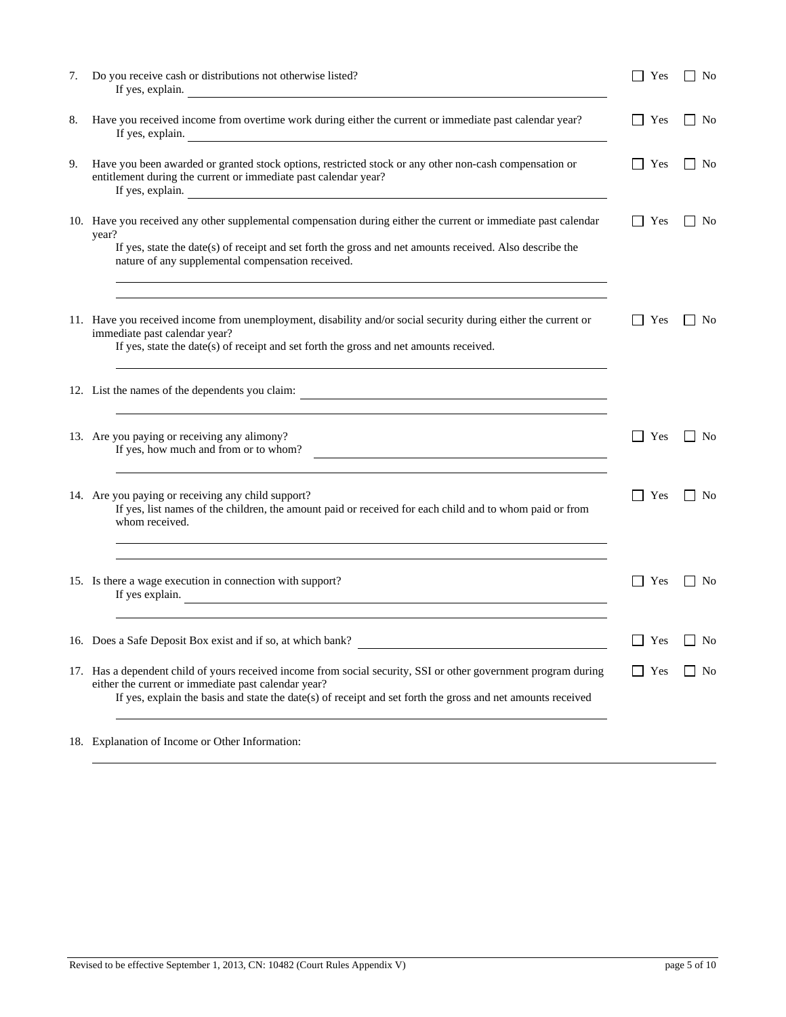| 7. | Do you receive cash or distributions not otherwise listed?<br>If yes, explain.                                                                                                                                                                                                           | Yes           | No                     |
|----|------------------------------------------------------------------------------------------------------------------------------------------------------------------------------------------------------------------------------------------------------------------------------------------|---------------|------------------------|
| 8. | Have you received income from overtime work during either the current or immediate past calendar year?<br>If yes, explain.                                                                                                                                                               | Yes           | No                     |
| 9. | Have you been awarded or granted stock options, restricted stock or any other non-cash compensation or<br>entitlement during the current or immediate past calendar year?<br>If yes, explain.<br><u> 1989 - Johann Barn, fransk politik fotograf (d. 1989)</u>                           | Yes           | N <sub>o</sub>         |
|    | 10. Have you received any other supplemental compensation during either the current or immediate past calendar<br>year?<br>If yes, state the date(s) of receipt and set forth the gross and net amounts received. Also describe the<br>nature of any supplemental compensation received. | Yes           | N <sub>o</sub>         |
|    | 11. Have you received income from unemployment, disability and/or social security during either the current or<br>immediate past calendar year?<br>If yes, state the date(s) of receipt and set forth the gross and net amounts received.                                                | Yes           | N <sub>0</sub>         |
|    | 12. List the names of the dependents you claim:                                                                                                                                                                                                                                          |               |                        |
|    | 13. Are you paying or receiving any alimony?<br>If yes, how much and from or to whom?<br><u> 1980 - Johann Barn, mars ann an t-Amhain Aonaich an t-Aonaich an t-Aonaich ann an t-Aonaich ann an t-Aonaich</u>                                                                            | Yes           | N <sub>o</sub>         |
|    | 14. Are you paying or receiving any child support?<br>If yes, list names of the children, the amount paid or received for each child and to whom paid or from<br>whom received.<br><u> 1989 - Johann Stoff, amerikansk politiker (* 1908)</u>                                            | Yes           | No                     |
|    | 15. Is there a wage execution in connection with support?<br>If yes explain.                                                                                                                                                                                                             | Yes           | N <sub>o</sub>         |
|    | 16. Does a Safe Deposit Box exist and if so, at which bank?                                                                                                                                                                                                                              |               | $\vert$ Yes $\vert$ No |
|    | 17. Has a dependent child of yours received income from social security, SSI or other government program during<br>either the current or immediate past calendar year?<br>If yes, explain the basis and state the date(s) of receipt and set forth the gross and net amounts received    | Yes<br>$\Box$ | N <sub>0</sub>         |
|    | 18. Explanation of Income or Other Information:                                                                                                                                                                                                                                          |               |                        |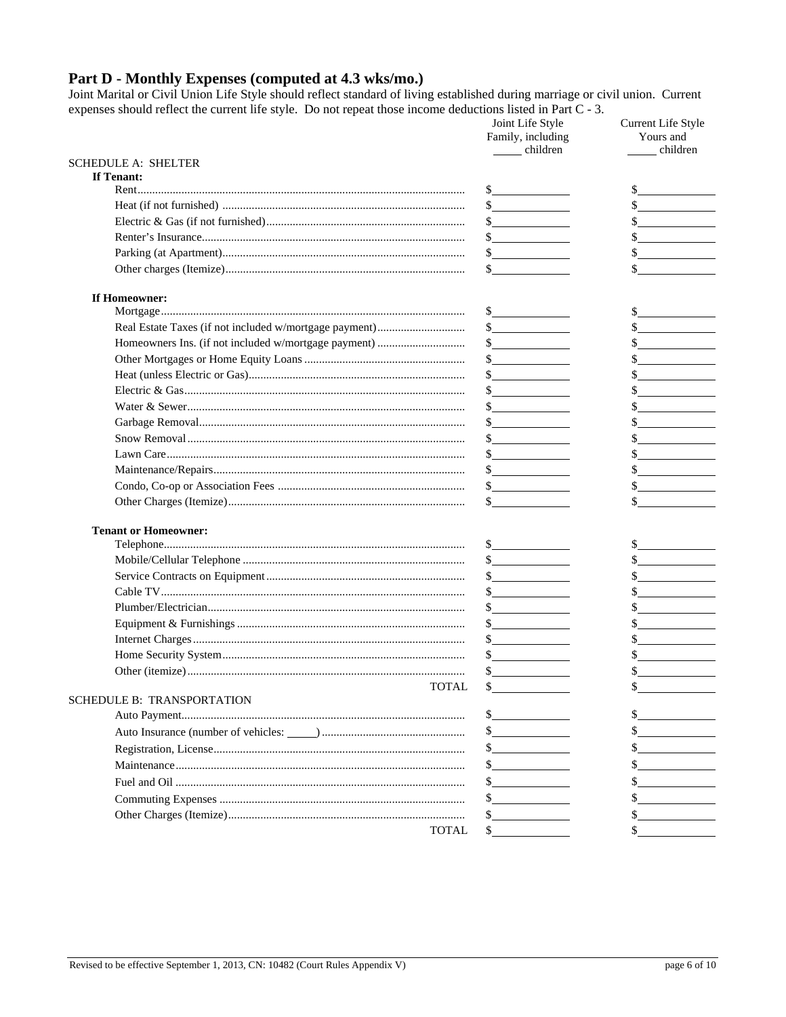# Part D - Monthly Expenses (computed at 4.3 wks/mo.)

Joint Marital or Civil Union Life Style should reflect standard of living established during marriage or civil union. Current expenses should reflect the current life style. Do not repeat those income deductions listed in Part C - 3.

|                             | Joint Life Style<br>Family, including<br>children | Current Life Style<br>Yours and<br>children                                                                           |
|-----------------------------|---------------------------------------------------|-----------------------------------------------------------------------------------------------------------------------|
| <b>SCHEDULE A: SHELTER</b>  |                                                   |                                                                                                                       |
| If Tenant:                  |                                                   |                                                                                                                       |
|                             | $\frac{\text{S}}{\text{S}}$                       |                                                                                                                       |
|                             | $\frac{\sqrt{2}}{2}$                              | $\sim$                                                                                                                |
|                             | s                                                 |                                                                                                                       |
|                             | $\frac{1}{2}$                                     | <u> 1999 - Jan Jawa Barat, pre</u>                                                                                    |
|                             | s                                                 | <u> 1980 - Jan Stein Stein Stein Stein Stein Stein Stein Stein Stein Stein Stein Stein Stein Stein Stein Stein S</u>  |
|                             | $\sim$ $\sim$                                     |                                                                                                                       |
| If Homeowner:               | s                                                 |                                                                                                                       |
|                             | s                                                 |                                                                                                                       |
|                             | $\frac{\sqrt{2}}{2}$                              | $\frac{\text{S}}{\text{S}}$                                                                                           |
|                             | $\frac{\sqrt{2}}{2}$                              | $\sim$ $\sim$                                                                                                         |
|                             | $\frac{1}{2}$                                     | $\sim$ $\sim$                                                                                                         |
|                             | $\frac{1}{2}$                                     | <u> a shekara ta 1999 a shekara t</u>                                                                                 |
|                             | $\frac{1}{2}$                                     |                                                                                                                       |
|                             | s                                                 |                                                                                                                       |
|                             | $\frac{\sqrt{2}}{2}$                              |                                                                                                                       |
|                             | $\frac{1}{2}$                                     |                                                                                                                       |
|                             |                                                   |                                                                                                                       |
|                             | $\frac{1}{2}$                                     |                                                                                                                       |
|                             | $\mathbb{S}$                                      |                                                                                                                       |
| <b>Tenant or Homeowner:</b> |                                                   |                                                                                                                       |
|                             | $\frac{\sqrt{2}}{2}$                              |                                                                                                                       |
|                             | $\frac{\text{S}}{\text{S}}$                       | $\sim$                                                                                                                |
|                             | s                                                 |                                                                                                                       |
|                             |                                                   | <u> 1989 - Jan Sterlingen i Sterlingen i Sterlingen i Sterlingen i Sterlingen i Sterlingen i Sterlingen i Sterlin</u> |
|                             | $\frac{\text{S}}{\text{S}}$                       |                                                                                                                       |
|                             | $\frac{\text{S}}{\text{S}}$                       |                                                                                                                       |
|                             | $\frac{\sqrt{2}}{2}$                              |                                                                                                                       |
|                             | $\frac{\text{S}}{\text{S}}$                       |                                                                                                                       |
|                             | \$                                                |                                                                                                                       |
| <b>TOTAL</b>                | \$                                                |                                                                                                                       |
| SCHEDULE B: TRANSPORTATION  |                                                   |                                                                                                                       |
|                             | $\frac{1}{2}$                                     |                                                                                                                       |
|                             | s                                                 |                                                                                                                       |
|                             | $\frac{\text{S}}{\text{S}}$                       |                                                                                                                       |
|                             | $\sim$ $\sim$                                     |                                                                                                                       |
|                             | $\frac{1}{2}$                                     |                                                                                                                       |
|                             | $\frac{\text{S}}{\text{S}}$                       |                                                                                                                       |
|                             | $\mathbb{S}^-$                                    |                                                                                                                       |
| <b>TOTAL</b>                | \$                                                |                                                                                                                       |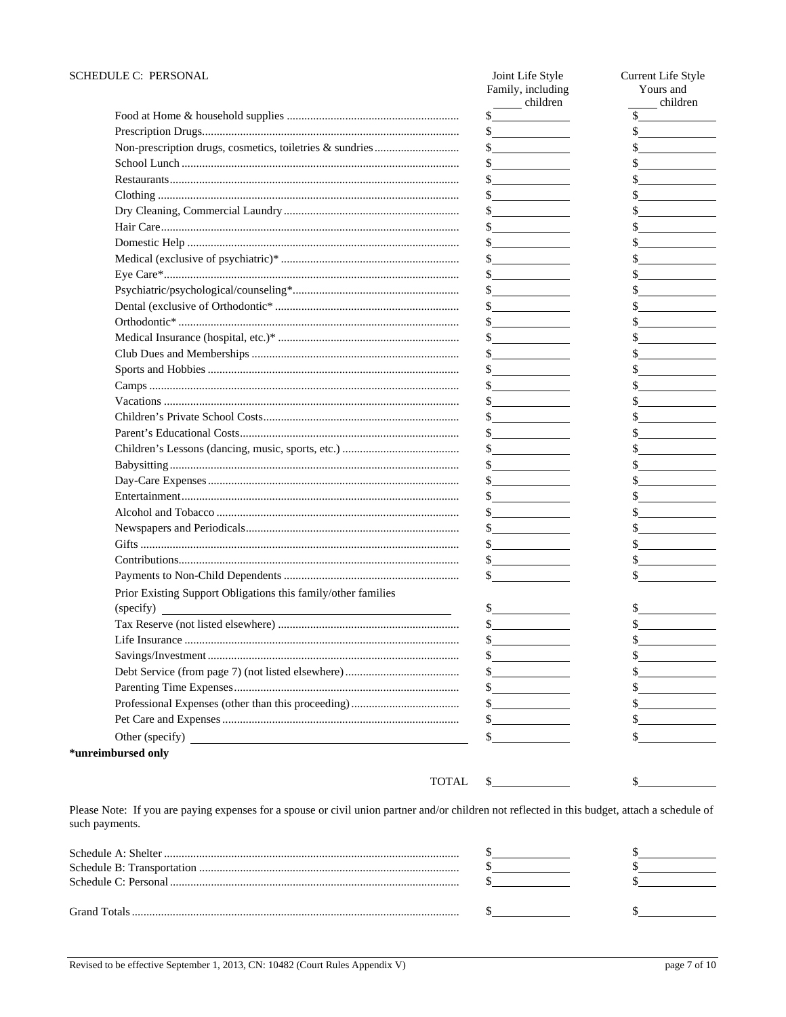| SCHEDULE C: PERSONAL                                          | Joint Life Style<br>Family, including<br>children                                                                                                                                                                                                                                                                                                                            | Current Life Style<br>Yours and<br>children    |
|---------------------------------------------------------------|------------------------------------------------------------------------------------------------------------------------------------------------------------------------------------------------------------------------------------------------------------------------------------------------------------------------------------------------------------------------------|------------------------------------------------|
|                                                               |                                                                                                                                                                                                                                                                                                                                                                              |                                                |
|                                                               | $\frac{1}{2}$                                                                                                                                                                                                                                                                                                                                                                | <u> 1989 - Johann Stoff, Amerikaansk konst</u> |
|                                                               | $\frac{1}{2}$                                                                                                                                                                                                                                                                                                                                                                |                                                |
|                                                               |                                                                                                                                                                                                                                                                                                                                                                              |                                                |
|                                                               | s                                                                                                                                                                                                                                                                                                                                                                            |                                                |
|                                                               | $\sim$ $\sim$                                                                                                                                                                                                                                                                                                                                                                |                                                |
|                                                               | $\frac{1}{2}$                                                                                                                                                                                                                                                                                                                                                                | $\sim$                                         |
|                                                               | $\frac{1}{2}$                                                                                                                                                                                                                                                                                                                                                                | \$                                             |
|                                                               | $\sim$                                                                                                                                                                                                                                                                                                                                                                       | $\sim$                                         |
|                                                               | s                                                                                                                                                                                                                                                                                                                                                                            | $\frac{\text{S}}{\text{S}}$                    |
|                                                               | s                                                                                                                                                                                                                                                                                                                                                                            | $\frac{\cdot}{\cdot}$                          |
|                                                               | $\frac{\sqrt{2}}{2}$                                                                                                                                                                                                                                                                                                                                                         |                                                |
|                                                               |                                                                                                                                                                                                                                                                                                                                                                              | s                                              |
|                                                               | $\frac{\ }{2}$                                                                                                                                                                                                                                                                                                                                                               | $\frac{\text{S}}{\text{S}}$                    |
|                                                               | s                                                                                                                                                                                                                                                                                                                                                                            | s                                              |
|                                                               |                                                                                                                                                                                                                                                                                                                                                                              |                                                |
|                                                               | $s$ and the set of $\sim$                                                                                                                                                                                                                                                                                                                                                    |                                                |
|                                                               |                                                                                                                                                                                                                                                                                                                                                                              |                                                |
|                                                               | $\frac{\text{S}}{\text{S}}$                                                                                                                                                                                                                                                                                                                                                  |                                                |
|                                                               | $\frac{\text{S}}{\text{S}}$ . The set of $\frac{\text{S}}{\text{S}}$ is the set of $\frac{\text{S}}{\text{S}}$ is the set of $\frac{\text{S}}{\text{S}}$ is the set of $\frac{\text{S}}{\text{S}}$ is the set of $\frac{\text{S}}{\text{S}}$ is the set of $\frac{\text{S}}{\text{S}}$ is the set of $\frac{\text{S}}{\text{S}}$ is t                                        | the control of the control of the              |
|                                                               | $\frac{\sqrt{2}}{2}$                                                                                                                                                                                                                                                                                                                                                         |                                                |
|                                                               | $\frac{1}{2}$                                                                                                                                                                                                                                                                                                                                                                |                                                |
|                                                               | $\frac{1}{2}$                                                                                                                                                                                                                                                                                                                                                                |                                                |
|                                                               | $\frac{1}{2}$                                                                                                                                                                                                                                                                                                                                                                | $\mathbb{S}$                                   |
|                                                               | $\frac{1}{2}$                                                                                                                                                                                                                                                                                                                                                                | $\frac{1}{2}$                                  |
|                                                               | $\frac{1}{2}$                                                                                                                                                                                                                                                                                                                                                                | $\frac{\text{S}}{\text{S}}$                    |
|                                                               | $\frac{\text{S}}{\text{S}}$                                                                                                                                                                                                                                                                                                                                                  | $\frac{\ }{\ }$                                |
|                                                               | $\frac{\sqrt{2}}{2}$                                                                                                                                                                                                                                                                                                                                                         | s                                              |
|                                                               | $\frac{\text{S}}{\text{S}}$                                                                                                                                                                                                                                                                                                                                                  | $\frac{1}{2}$                                  |
|                                                               | $\sim$                                                                                                                                                                                                                                                                                                                                                                       |                                                |
| Prior Existing Support Obligations this family/other families |                                                                                                                                                                                                                                                                                                                                                                              |                                                |
| $\frac{1}{2}$ (specify)                                       | $\frac{\S_{\frac{1}{2}}}{\S_{\frac{1}{2}}}{\S_{\frac{1}{2}}}{\S_{\frac{1}{2}}}{\S_{\frac{1}{2}}}{\S_{\frac{1}{2}}}{\S_{\frac{1}{2}}}{\S_{\frac{1}{2}}}{\S_{\frac{1}{2}}}{\S_{\frac{1}{2}}}{\S_{\frac{1}{2}}}{\S_{\frac{1}{2}}}{\S_{\frac{1}{2}}}{\S_{\frac{1}{2}}}{\S_{\frac{1}{2}}}{\S_{\frac{1}{2}}}{\S_{\frac{1}{2}}}{\S_{\frac{1}{2}}}{\S_{\frac{1}{2}}}{\S_{\frac{1}{2$ | \$.                                            |
|                                                               |                                                                                                                                                                                                                                                                                                                                                                              |                                                |
|                                                               | \$                                                                                                                                                                                                                                                                                                                                                                           |                                                |
|                                                               | \$                                                                                                                                                                                                                                                                                                                                                                           |                                                |
|                                                               | s                                                                                                                                                                                                                                                                                                                                                                            |                                                |
|                                                               | $\frac{1}{2}$                                                                                                                                                                                                                                                                                                                                                                |                                                |
|                                                               | $\frac{1}{2}$                                                                                                                                                                                                                                                                                                                                                                |                                                |
|                                                               |                                                                                                                                                                                                                                                                                                                                                                              |                                                |
|                                                               |                                                                                                                                                                                                                                                                                                                                                                              |                                                |
|                                                               | \$.                                                                                                                                                                                                                                                                                                                                                                          |                                                |
| *unreimbursed only                                            |                                                                                                                                                                                                                                                                                                                                                                              |                                                |
| <b>TOTAL</b>                                                  |                                                                                                                                                                                                                                                                                                                                                                              |                                                |
|                                                               |                                                                                                                                                                                                                                                                                                                                                                              |                                                |

Please Note: If you are paying expenses for a spouse or civil union partner and/or children not reflected in this budget, attach a schedule of such payments.

| <b>Grand Totals</b> |  |
|---------------------|--|
|                     |  |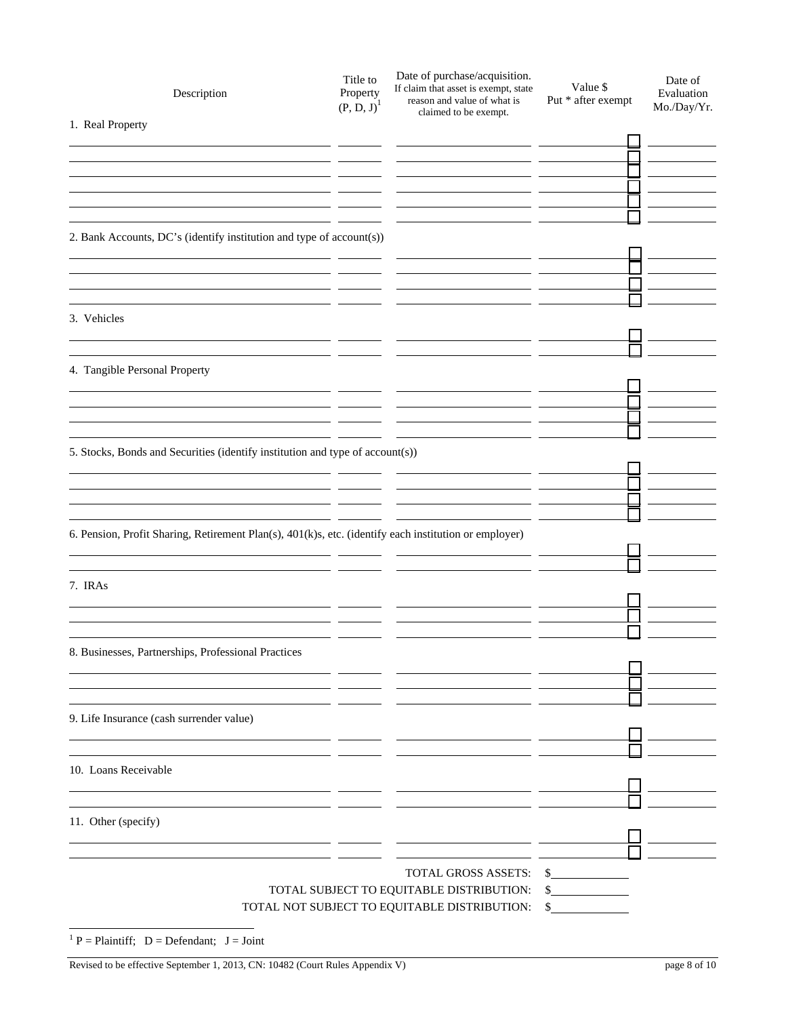| Description                                                                                                        | Title to<br>Property<br>$(P, D, J)$ <sup>1</sup> | Date of purchase/acquisition.<br>If claim that asset is exempt, state<br>reason and value of what is<br>claimed to be exempt. | Value \$<br>Put * after exempt | Date of<br>Evaluation<br>Mo./Day/Yr. |
|--------------------------------------------------------------------------------------------------------------------|--------------------------------------------------|-------------------------------------------------------------------------------------------------------------------------------|--------------------------------|--------------------------------------|
| 1. Real Property                                                                                                   |                                                  |                                                                                                                               |                                |                                      |
|                                                                                                                    |                                                  |                                                                                                                               |                                |                                      |
|                                                                                                                    |                                                  |                                                                                                                               |                                |                                      |
|                                                                                                                    |                                                  |                                                                                                                               |                                |                                      |
|                                                                                                                    |                                                  |                                                                                                                               |                                |                                      |
|                                                                                                                    |                                                  |                                                                                                                               |                                |                                      |
| 2. Bank Accounts, DC's (identify institution and type of account(s))                                               |                                                  |                                                                                                                               |                                |                                      |
|                                                                                                                    |                                                  |                                                                                                                               |                                |                                      |
|                                                                                                                    |                                                  |                                                                                                                               |                                |                                      |
|                                                                                                                    |                                                  |                                                                                                                               |                                |                                      |
| 3. Vehicles                                                                                                        |                                                  |                                                                                                                               |                                |                                      |
|                                                                                                                    |                                                  |                                                                                                                               |                                |                                      |
| 4. Tangible Personal Property                                                                                      |                                                  |                                                                                                                               |                                |                                      |
|                                                                                                                    |                                                  |                                                                                                                               |                                |                                      |
|                                                                                                                    |                                                  |                                                                                                                               |                                |                                      |
|                                                                                                                    |                                                  |                                                                                                                               |                                |                                      |
| <u> 1980 - Jan Stein Harry Harry Harry Harry Harry Harry Harry Harry Harry Harry Harry Harry Harry Harry Harry</u> |                                                  |                                                                                                                               |                                |                                      |
| 5. Stocks, Bonds and Securities (identify institution and type of account(s))                                      |                                                  |                                                                                                                               |                                |                                      |
|                                                                                                                    |                                                  |                                                                                                                               |                                |                                      |
|                                                                                                                    |                                                  |                                                                                                                               |                                |                                      |
|                                                                                                                    |                                                  |                                                                                                                               |                                |                                      |
| 6. Pension, Profit Sharing, Retirement Plan(s), 401(k)s, etc. (identify each institution or employer)              |                                                  |                                                                                                                               |                                |                                      |
|                                                                                                                    |                                                  |                                                                                                                               |                                |                                      |
| 7. IRAs                                                                                                            |                                                  |                                                                                                                               |                                |                                      |
|                                                                                                                    |                                                  |                                                                                                                               |                                |                                      |
|                                                                                                                    |                                                  |                                                                                                                               |                                |                                      |
|                                                                                                                    |                                                  |                                                                                                                               |                                |                                      |
| 8. Businesses, Partnerships, Professional Practices                                                                |                                                  |                                                                                                                               |                                |                                      |
|                                                                                                                    |                                                  |                                                                                                                               |                                |                                      |
|                                                                                                                    |                                                  |                                                                                                                               |                                |                                      |
| 9. Life Insurance (cash surrender value)                                                                           |                                                  |                                                                                                                               |                                |                                      |
|                                                                                                                    | - -                                              |                                                                                                                               |                                |                                      |
|                                                                                                                    | - -                                              |                                                                                                                               |                                |                                      |
| 10. Loans Receivable                                                                                               |                                                  |                                                                                                                               |                                |                                      |
|                                                                                                                    |                                                  |                                                                                                                               |                                |                                      |
| 11. Other (specify)                                                                                                |                                                  |                                                                                                                               |                                |                                      |
|                                                                                                                    |                                                  |                                                                                                                               |                                |                                      |
|                                                                                                                    |                                                  |                                                                                                                               |                                |                                      |
|                                                                                                                    |                                                  | TOTAL GROSS ASSETS:                                                                                                           | s                              |                                      |
|                                                                                                                    |                                                  | TOTAL SUBJECT TO EQUITABLE DISTRIBUTION:                                                                                      | $\frac{\text{S}}{\text{S}}$    |                                      |
|                                                                                                                    |                                                  | TOTAL NOT SUBJECT TO EQUITABLE DISTRIBUTION:                                                                                  | \$                             |                                      |
| <sup>1</sup> P = Plaintiff; D = Defendant; J = Joint                                                               |                                                  |                                                                                                                               |                                |                                      |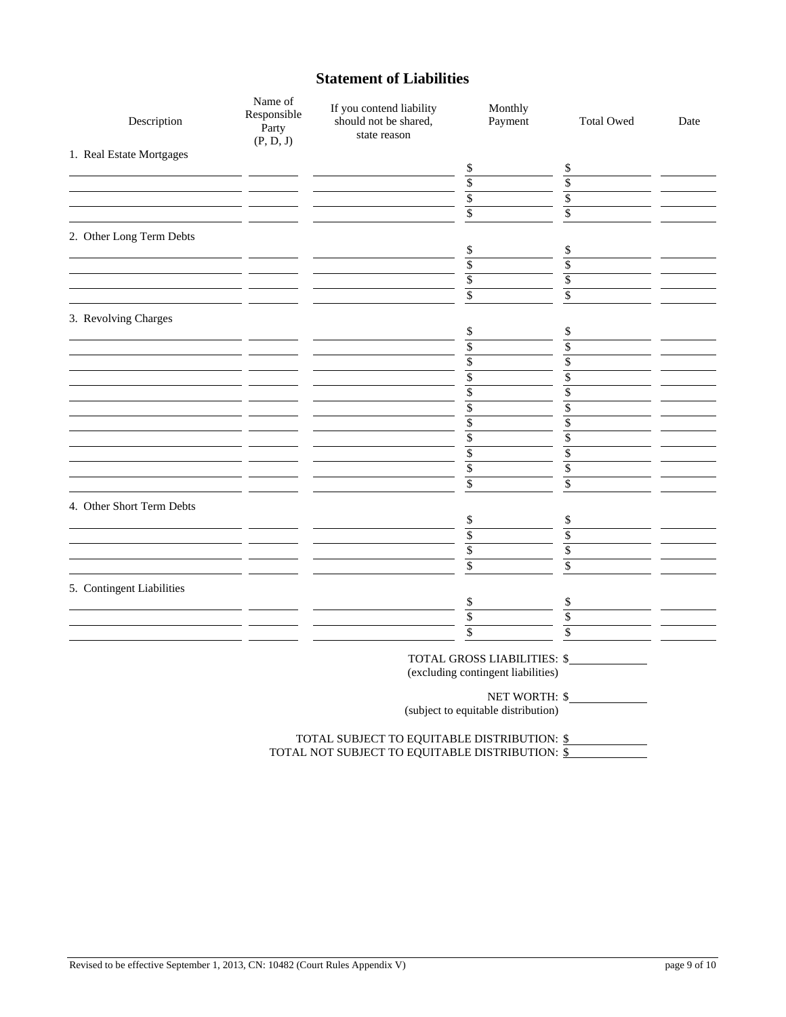# **Statement of Liabilities**

| Description               | Name of<br>Responsible<br>Party<br>(P, D, J) | If you contend liability<br>should not be shared,<br>state reason                                | Monthly<br>Payment                                                | <b>Total Owed</b>       | Date |
|---------------------------|----------------------------------------------|--------------------------------------------------------------------------------------------------|-------------------------------------------------------------------|-------------------------|------|
| 1. Real Estate Mortgages  |                                              |                                                                                                  |                                                                   |                         |      |
|                           |                                              |                                                                                                  | \$                                                                | \$                      |      |
|                           |                                              |                                                                                                  | $\sqrt[6]{\frac{1}{2}}$                                           | $\overline{\$}$         |      |
|                           |                                              |                                                                                                  | $\sqrt{\frac{2}{5}}$                                              | $\overline{\$}$         |      |
|                           |                                              |                                                                                                  | $\overline{\$}$                                                   | $\overline{\mathbb{S}}$ |      |
| 2. Other Long Term Debts  |                                              |                                                                                                  |                                                                   |                         |      |
|                           |                                              |                                                                                                  | \$                                                                | \$                      |      |
|                           |                                              |                                                                                                  | $\overline{\$}$                                                   | $\overline{\$}$         |      |
|                           |                                              |                                                                                                  | $\overline{\$}$                                                   | \$                      |      |
|                           |                                              |                                                                                                  | $\overline{\$}$                                                   | $\overline{\$}$         |      |
| 3. Revolving Charges      |                                              |                                                                                                  |                                                                   |                         |      |
|                           |                                              |                                                                                                  | \$                                                                | \$                      |      |
|                           |                                              |                                                                                                  | $\overline{\$}$                                                   | $\overline{\$}$         |      |
|                           |                                              |                                                                                                  | $\overline{\$}$                                                   | $\overline{\$}$         |      |
|                           |                                              |                                                                                                  | $\overline{\$}$                                                   | $\overline{\mathbb{S}}$ |      |
|                           |                                              |                                                                                                  | \$                                                                | $\overline{\$}$         |      |
|                           |                                              |                                                                                                  | $\$$                                                              | \$                      |      |
|                           |                                              |                                                                                                  | \$                                                                | \$                      |      |
|                           |                                              |                                                                                                  | $\overline{\$}$                                                   | $\overline{\$}$         |      |
|                           |                                              |                                                                                                  | $\overline{\mathcal{S}}$                                          | \$                      |      |
|                           |                                              |                                                                                                  | $\overline{\$}$                                                   | \$                      |      |
|                           |                                              |                                                                                                  | $\overline{\$}$                                                   | $\overline{\mathbb{S}}$ |      |
|                           |                                              |                                                                                                  |                                                                   |                         |      |
| 4. Other Short Term Debts |                                              |                                                                                                  | \$                                                                | \$                      |      |
|                           |                                              |                                                                                                  | $\sqrt{\frac{1}{2}}$                                              | $\sqrt{\frac{2}{n}}$    |      |
|                           |                                              |                                                                                                  | $\sqrt{\frac{2}{3}}$                                              | \$                      |      |
|                           |                                              |                                                                                                  | $\overline{\mathcal{S}}$                                          | $\overline{\mathbb{S}}$ |      |
|                           |                                              |                                                                                                  |                                                                   |                         |      |
| 5. Contingent Liabilities |                                              |                                                                                                  |                                                                   |                         |      |
|                           | $\sim$                                       |                                                                                                  | \$                                                                | \$                      |      |
|                           |                                              |                                                                                                  | $\sqrt{\frac{2}{5}}$                                              | \$                      |      |
|                           |                                              |                                                                                                  | $\overline{\$}$                                                   | $\overline{\mathbb{S}}$ |      |
|                           |                                              |                                                                                                  | TOTAL GROSS LIABILITIES: \$<br>(excluding contingent liabilities) |                         |      |
|                           |                                              |                                                                                                  | (subject to equitable distribution)                               | NET WORTH: \$           |      |
|                           |                                              | TOTAL SUBJECT TO EQUITABLE DISTRIBUTION: $\S$<br>TOTAL NOT SUBJECT TO EQUITABLE DISTRIBUTION: \$ |                                                                   |                         |      |